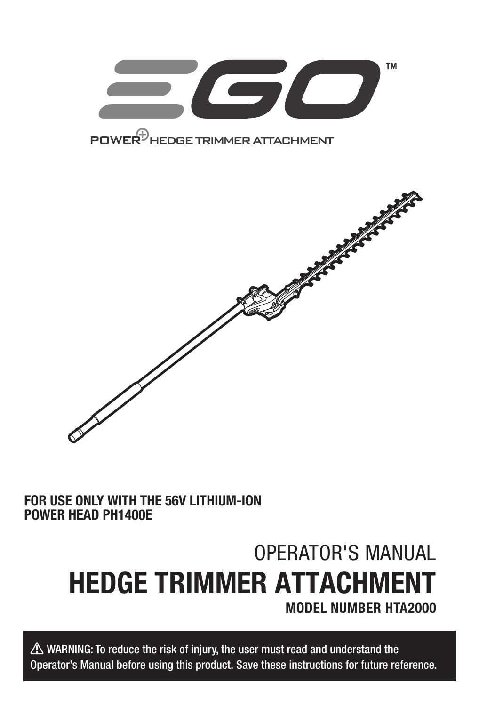

### FOR USE ONLY WITH THE 56V LITHIUM-ION POWER HEAD PH1400E

# OPERATOR'S MANUAL HEDGE TRIMMER ATTACHMENT MODEL NUMBER HTA2000

 $\triangle$  WARNING: To reduce the risk of injury, the user must read and understand the Operator's Manual before using this product. Save these instructions for future reference.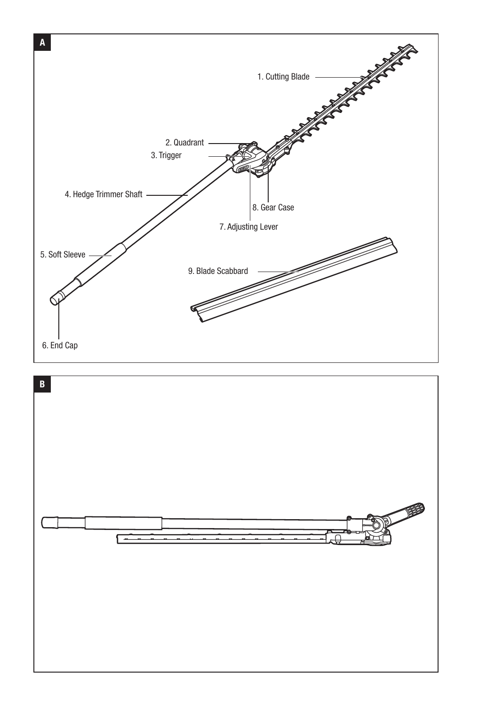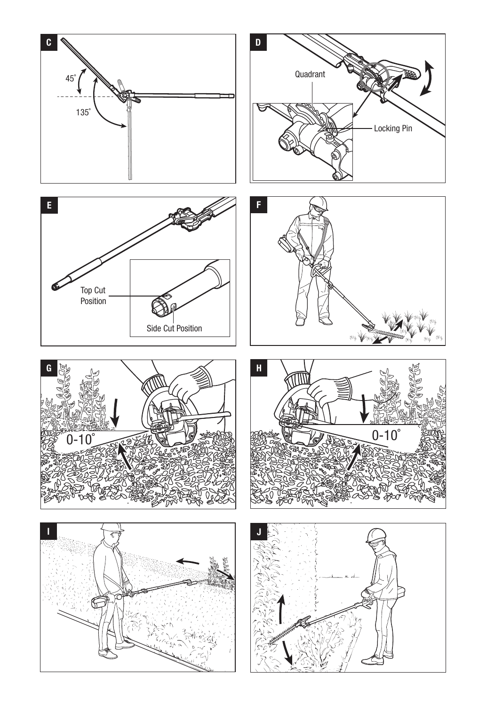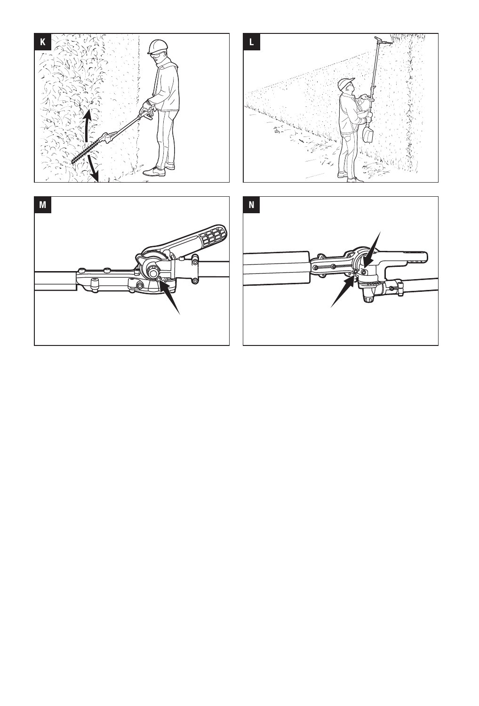





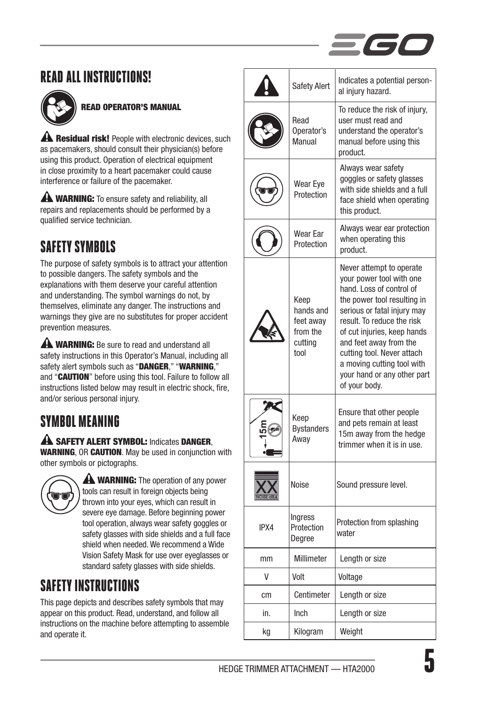

### READ ALL INSTRUCTIONS!



### READ OPERATOR'S MANUAL

**A Residual risk!** People with electronic devices, such as pacemakers, should consult their physician(s) before using this product. Operation of electrical equipment in close proximity to a heart pacemaker could cause interference or failure of the pacemaker.

**A WARNING:** To ensure safety and reliability, all repairs and replacements should be performed by a qualified service technician.

## SAFETY SYMBOLS

The purpose of safety symbols is to attract your attention to possible dangers. The safety symbols and the explanations with them deserve your careful attention and understanding. The symbol warnings do not, by themselves, eliminate any danger. The instructions and warnings they give are no substitutes for proper accident prevention measures.

**A WARNING:** Be sure to read and understand all safety instructions in this Operator's Manual, including all safety alert symbols such as "DANGER," "WARNING." and "CAUTION" before using this tool. Failure to follow all instructions listed below may result in electric shock, fire, and/or serious personal injury.

### SYMBOL MEANING

A SAFETY ALERT SYMBOL: Indicates DANGER WARNING, OR CAUTION. May be used in conjunction with other symbols or pictographs.



**A WARNING:** The operation of any power tools can result in foreign objects being thrown into your eyes, which can result in severe eye damage. Before beginning power tool operation, always wear safety goggles or safety glasses with side shields and a full face shield when needed. We recommend a Wide Vision Safety Mask for use over eyeglasses or standard safety glasses with side shields.

### SAFFTY INSTRIICTIONS

This page depicts and describes safety symbols that may appear on this product. Read, understand, and follow all instructions on the machine before attempting to assemble and operate it.

|      | <b>Safety Alert</b>                                           | Indicates a potential person-<br>al injury hazard.                                                                                                                                                                                                                                                                                                |
|------|---------------------------------------------------------------|---------------------------------------------------------------------------------------------------------------------------------------------------------------------------------------------------------------------------------------------------------------------------------------------------------------------------------------------------|
|      | Read<br>Operator's<br>Manual                                  | To reduce the risk of injury,<br>user must read and<br>understand the operator's<br>manual before using this<br>product.                                                                                                                                                                                                                          |
|      | Wear Eye<br>Protection                                        | Always wear safety<br>goggles or safety glasses<br>with side shields and a full<br>face shield when operating<br>this product.                                                                                                                                                                                                                    |
|      | Wear Ear<br>Protection                                        | Always wear ear protection<br>when operating this<br>product.                                                                                                                                                                                                                                                                                     |
|      | Keep<br>hands and<br>feet away<br>from the<br>cuttina<br>tool | Never attempt to operate<br>your power tool with one<br>hand. Loss of control of<br>the power tool resulting in<br>serious or fatal injury may<br>result. To reduce the risk<br>of cut injuries, keep hands<br>and feet away from the<br>cutting tool. Never attach<br>a moving cutting tool with<br>your hand or any other part<br>of your body. |
|      | Keep<br><b>Bystanders</b><br>Away                             | Ensure that other people<br>and pets remain at least<br>15m away from the hedge<br>trimmer when it is in use.                                                                                                                                                                                                                                     |
|      | Noise                                                         | Sound pressure level.                                                                                                                                                                                                                                                                                                                             |
| IPX4 | Ingress<br>Protection<br>Degree                               | Protection from splashing<br>water                                                                                                                                                                                                                                                                                                                |
| mm   | Millimeter                                                    | Length or size                                                                                                                                                                                                                                                                                                                                    |
| V    | Volt                                                          | Voltage                                                                                                                                                                                                                                                                                                                                           |
| cm   | Centimeter                                                    | Length or size                                                                                                                                                                                                                                                                                                                                    |
| in.  | Inch                                                          | Length or size                                                                                                                                                                                                                                                                                                                                    |
| kg   | Kilogram                                                      | Weight                                                                                                                                                                                                                                                                                                                                            |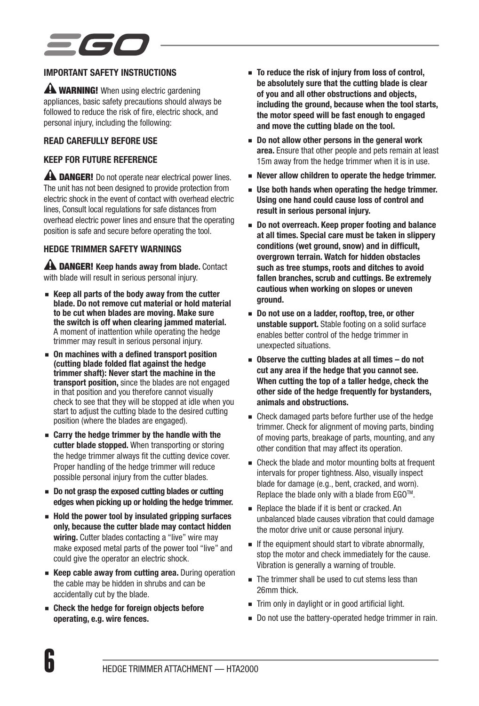### IMPORTANT SAFETY INSTRUCTIONS

**A WARNING!** When using electric gardening appliances, basic safety precautions should always be followed to reduce the risk of fire, electric shock, and personal injury, including the following:

#### READ CAREFULLY BEFORE USE

#### KEEP FOR FUTURE REFERENCE

**A DANGER!** Do not operate near electrical power lines. The unit has not been designed to provide protection from electric shock in the event of contact with overhead electric lines, Consult local regulations for safe distances from overhead electric power lines and ensure that the operating position is safe and secure before operating the tool.

#### HEDGE TRIMMER SAFETY WARNINGS

A DANGER! Keep hands away from blade. Contact with blade will result in serious personal injury.

- Keep all parts of the body away from the cutter blade. Do not remove cut material or hold material to be cut when blades are moving. Make sure the switch is off when clearing jammed material. A moment of inattention while operating the hedge trimmer may result in serious personal injury.
- On machines with a defined transport position (cutting blade folded flat against the hedge trimmer shaft): Never start the machine in the transport position, since the blades are not engaged in that position and you therefore cannot visually check to see that they will be stopped at idle when you start to adjust the cutting blade to the desired cutting position (where the blades are engaged).
- Carry the hedge trimmer by the handle with the cutter blade stopped. When transporting or storing the hedge trimmer always fit the cutting device cover. Proper handling of the hedge trimmer will reduce possible personal injury from the cutter blades.
- Do not grasp the exposed cutting blades or cutting edges when picking up or holding the hedge trimmer.
- Hold the power tool by insulated gripping surfaces only, because the cutter blade may contact hidden wiring. Cutter blades contacting a "live" wire may make exposed metal parts of the power tool "live" and could give the operator an electric shock.
- Keep cable away from cutting area. During operation the cable may be hidden in shrubs and can be accidentally cut by the blade.
- Check the hedge for foreign objects before operating, e.g. wire fences.
- To reduce the risk of injury from loss of control, be absolutely sure that the cutting blade is clear of you and all other obstructions and objects, including the ground, because when the tool starts, the motor speed will be fast enough to engaged and move the cutting blade on the tool.
- Do not allow other persons in the general work area. Ensure that other people and pets remain at least 15m away from the hedge trimmer when it is in use.
- Never allow children to operate the hedge trimmer.
- Use both hands when operating the hedge trimmer. Using one hand could cause loss of control and result in serious personal injury.
- Do not overreach. Keep proper footing and balance at all times. Special care must be taken in slippery conditions (wet ground, snow) and in difficult, overgrown terrain. Watch for hidden obstacles such as tree stumps, roots and ditches to avoid fallen branches, scrub and cuttings. Be extremely cautious when working on slopes or uneven ground.
- Do not use on a ladder, rooftop, tree, or other unstable support. Stable footing on a solid surface enables better control of the hedge trimmer in unexpected situations.
- Observe the cutting blades at all times do not cut any area if the hedge that you cannot see. When cutting the top of a taller hedge, check the other side of the hedge frequently for bystanders, animals and obstructions.
- Check damaged parts before further use of the hedge trimmer. Check for alignment of moving parts, binding of moving parts, breakage of parts, mounting, and any other condition that may affect its operation.
- Check the blade and motor mounting bolts at frequent intervals for proper tightness. Also, visually inspect blade for damage (e.g., bent, cracked, and worn). Replace the blade only with a blade from EGO™.
- Replace the blade if it is bent or cracked. An unbalanced blade causes vibration that could damage the motor drive unit or cause personal injury.
- If the equipment should start to vibrate abnormally, stop the motor and check immediately for the cause. Vibration is generally a warning of trouble.
- The trimmer shall be used to cut stems less than 26mm thick.
- Trim only in daylight or in good artificial light.
- Do not use the battery-operated hedge trimmer in rain.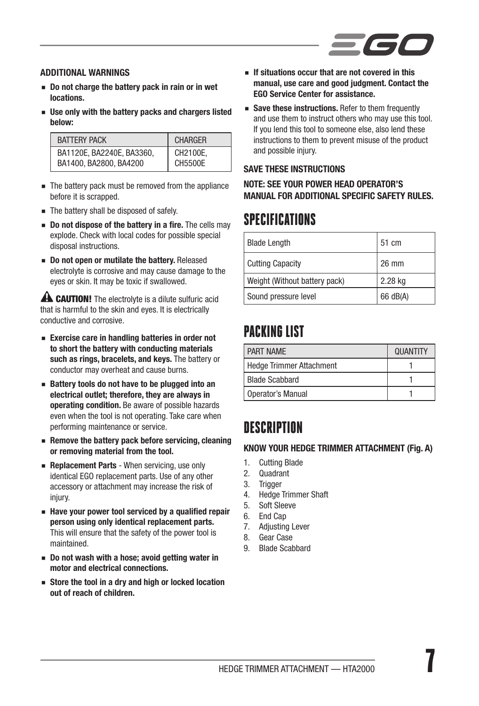

#### ADDITIONAL WARNINGS

- Do not charge the battery pack in rain or in wet locations.
- Use only with the battery packs and chargers listed below:

| <b>BATTERY PACK</b>       | <b>CHARGER</b> |
|---------------------------|----------------|
| BA1120E. BA2240E. BA3360. | CH2100E.       |
| BA1400, BA2800, BA4200    | CH5500E        |

- The battery pack must be removed from the appliance before it is scrapped.
- The battery shall be disposed of safely.
- Do not dispose of the battery in a fire. The cells may explode. Check with local codes for possible special disposal instructions.
- Do not open or mutilate the battery. Released electrolyte is corrosive and may cause damage to the eyes or skin. It may be toxic if swallowed.

**A CAUTION!** The electrolyte is a dilute sulfuric acid that is harmful to the skin and eyes. It is electrically conductive and corrosive.

- Exercise care in handling batteries in order not to short the battery with conducting materials such as rings, bracelets, and keys. The battery or conductor may overheat and cause burns.
- Battery tools do not have to be plugged into an electrical outlet; therefore, they are always in operating condition. Be aware of possible hazards even when the tool is not operating. Take care when performing maintenance or service.
- Remove the battery pack before servicing, cleaning or removing material from the tool.
- Replacement Parts When servicing, use only identical EGO replacement parts. Use of any other accessory or attachment may increase the risk of injury.
- Have your power tool serviced by a qualified repair person using only identical replacement parts. This will ensure that the safety of the power tool is maintained.
- Do not wash with a hose; avoid getting water in motor and electrical connections.
- Store the tool in a drv and high or locked location out of reach of children.
- If situations occur that are not covered in this manual, use care and good judgment. Contact the EGO Service Center for assistance.
- Save these instructions. Refer to them frequently and use them to instruct others who may use this tool. If you lend this tool to someone else, also lend these instructions to them to prevent misuse of the product and possible injury.

#### SAVE THESE INSTRUCTIONS

#### NOTE: SEE YOUR POWER HEAD OPERATOR'S MANUAL FOR ADDITIONAL SPECIFIC SAFETY RULES.

### **SPECIFICATIONS**

| <b>Blade Length</b>           | 51 cm    |
|-------------------------------|----------|
| <b>Cutting Capacity</b>       | 26 mm    |
| Weight (Without battery pack) | 2.28 kg  |
| Sound pressure level          | 66 dB(A) |

### PACKING LIST

| <b>PART NAMF</b>                | <b>QUANTITY</b> |
|---------------------------------|-----------------|
| <b>Hedge Trimmer Attachment</b> |                 |
| <b>Blade Scabbard</b>           |                 |
| Operator's Manual               |                 |

### **DESCRIPTION**

#### KNOW YOUR HEDGE TRIMMER ATTACHMENT (Fig. A)

- 1. Cutting Blade
- 2. Quadrant
- 3. Trigger
- 4. Hedge Trimmer Shaft
- 5. Soft Sleeve
- 6. End Cap
- 7. Adjusting Lever
- 8. Gear Case
- 9. Blade Scabbard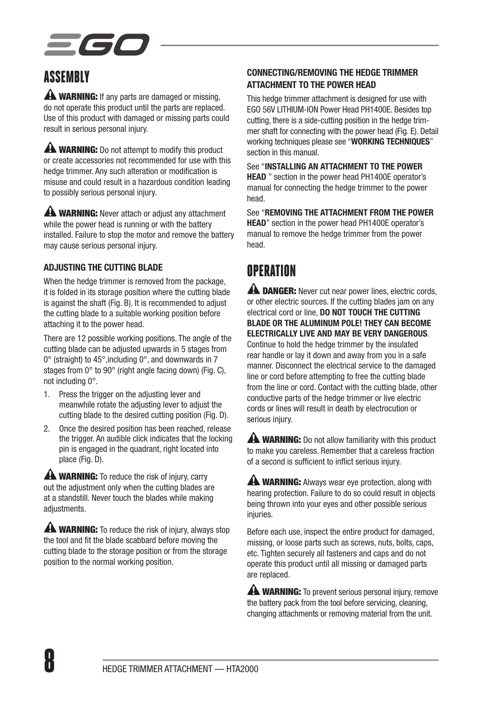

### **ASSEMBLY**

**A WARNING:** If any parts are damaged or missing, do not operate this product until the parts are replaced. Use of this product with damaged or missing parts could result in serious personal injury.

**A WARNING:** Do not attempt to modify this product or create accessories not recommended for use with this hedge trimmer. Any such alteration or modification is misuse and could result in a hazardous condition leading to possibly serious personal injury.

**AN WARNING:** Never attach or adjust any attachment while the power head is running or with the battery installed. Failure to stop the motor and remove the battery may cause serious personal injury.

#### ADJUSTING THE CUTTING BLADE

When the hedge trimmer is removed from the package. it is folded in its storage position where the cutting blade is against the shaft (Fig. B). It is recommended to adjust the cutting blade to a suitable working position before attaching it to the power head.

There are 12 possible working positions. The angle of the cutting blade can be adjusted upwards in 5 stages from 0° (straight) to 45°,including 0°, and downwards in 7 stages from 0° to 90° (right angle facing down) (Fig. C), not including 0°.

- 1. Press the trigger on the adjusting lever and meanwhile rotate the adjusting lever to adjust the cutting blade to the desired cutting position (Fig. D).
- 2. Once the desired position has been reached, release the trigger. An audible click indicates that the locking pin is engaged in the quadrant, right located into place (Fig. D).

**A WARNING:** To reduce the risk of injury, carry out the adjustment only when the cutting blades are at a standstill. Never touch the blades while making adiustments.

**A WARNING:** To reduce the risk of injury, always stop the tool and fit the blade scabbard before moving the cutting blade to the storage position or from the storage position to the normal working position.

#### CONNECTING/REMOVING THE HEDGE TRIMMER ATTACHMENT TO THE POWER HEAD

This hedge trimmer attachment is designed for use with EGO 56V LITHIUM-ION Power Head PH1400E. Besides top cutting, there is a side-cutting position in the hedge trimmer shaft for connecting with the power head (Fig. E). Detail working techniques please see "WORKING TECHNIQUES" section in this manual.

See "INSTALLING AN ATTACHMENT TO THE POWER HEAD " section in the power head PH1400E operator's manual for connecting the hedge trimmer to the power head.

See "REMOVING THE ATTACHMENT FROM THE POWER HEAD" section in the power head PH1400E operator's manual to remove the hedge trimmer from the power head.

## OPERATION

**A DANGER:** Never cut near power lines, electric cords, or other electric sources. If the cutting blades jam on any electrical cord or line, DO NOT TOUCH THE CUTTING BLADE OR THE ALUMINUM POLE! THEY CAN BECOME ELECTRICALLY LIVE AND MAY BE VERY DANGEROUS.

Continue to hold the hedge trimmer by the insulated rear handle or lay it down and away from you in a safe manner. Disconnect the electrical service to the damaged line or cord before attempting to free the cutting blade from the line or cord. Contact with the cutting blade, other conductive parts of the hedge trimmer or live electric cords or lines will result in death by electrocution or serious injury.

**A WARNING:** Do not allow familiarity with this product to make you careless. Remember that a careless fraction of a second is sufficient to inflict serious injury.

**A WARNING:** Always wear eye protection, along with hearing protection. Failure to do so could result in objects being thrown into your eyes and other possible serious injuries.

Before each use, inspect the entire product for damaged, missing, or loose parts such as screws, nuts, bolts, caps, etc. Tighten securely all fasteners and caps and do not operate this product until all missing or damaged parts are replaced.

**A WARNING:** To prevent serious personal injury, remove the battery pack from the tool before servicing, cleaning, changing attachments or removing material from the unit.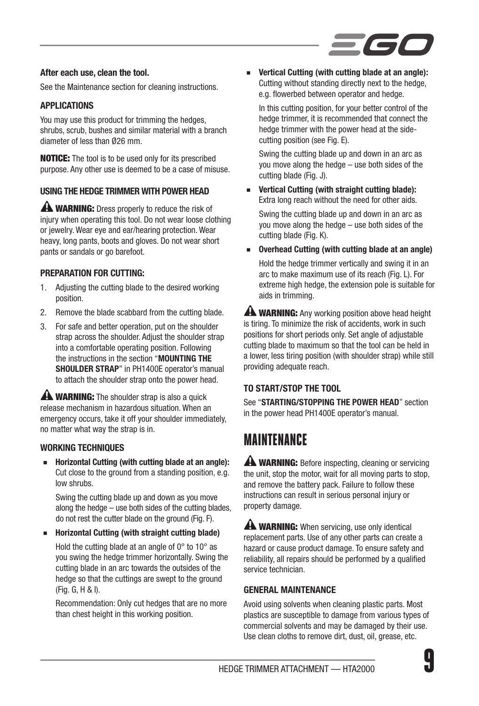

#### After each use, clean the tool.

See the Maintenance section for cleaning instructions.

#### APPLICATIONS

You may use this product for trimming the hedges, shrubs, scrub, bushes and similar material with a branch diameter of less than Ø26 mm.

NOTICE: The tool is to be used only for its prescribed purpose. Any other use is deemed to be a case of misuse.

#### USING THE HEDGE TRIMMER WITH POWER HEAD

**A WARNING:** Dress properly to reduce the risk of injury when operating this tool. Do not wear loose clothing or jewelry. Wear eye and ear/hearing protection. Wear heavy, long pants, boots and gloves. Do not wear short pants or sandals or go barefoot.

#### PREPARATION FOR CUTTING:

- 1. Adjusting the cutting blade to the desired working position.
- 2. Remove the blade scabbard from the cutting blade.
- 3. For safe and better operation, put on the shoulder strap across the shoulder. Adjust the shoulder strap into a comfortable operating position. Following the instructions in the section "MOUNTING THE SHOULDER STRAP" in PH1400E operator's manual to attach the shoulder strap onto the power head.

**A WARNING:** The shoulder strap is also a quick release mechanism in hazardous situation. When an emergency occurs, take it off your shoulder immediately, no matter what way the strap is in.

#### WORKING TECHNIQUES

Horizontal Cutting (with cutting blade at an angle): Cut close to the ground from a standing position, e.g. low shrubs.

Swing the cutting blade up and down as you move along the hedge – use both sides of the cutting blades, do not rest the cutter blade on the ground (Fig. F).

### ◾ Horizontal Cutting (with straight cutting blade)

Hold the cutting blade at an angle of 0° to 10° as you swing the hedge trimmer horizontally. Swing the cutting blade in an arc towards the outsides of the hedge so that the cuttings are swept to the ground (Fig. G, H & I).

Recommendation: Only cut hedges that are no more than chest height in this working position.

Vertical Cutting (with cutting blade at an angle): Cutting without standing directly next to the hedge, e.g. flowerbed between operator and hedge.

In this cutting position, for your better control of the hedge trimmer, it is recommended that connect the hedge trimmer with the power head at the sidecutting position (see Fig. E).

Swing the cutting blade up and down in an arc as you move along the hedge – use both sides of the cutting blade (Fig. J).

Vertical Cutting (with straight cutting blade): Extra long reach without the need for other aids. Swing the cutting blade up and down in an arc as you move along the hedge – use both sides of the cutting blade (Fig. K).

Overhead Cutting (with cutting blade at an angle) Hold the hedge trimmer vertically and swing it in an arc to make maximum use of its reach (Fig. L). For extreme high hedge, the extension pole is suitable for aids in trimming.

**A WARNING:** Any working position above head height is tiring. To minimize the risk of accidents, work in such positions for short periods only. Set angle of adjustable cutting blade to maximum so that the tool can be held in a lower, less tiring position (with shoulder strap) while still providing adequate reach.

#### TO START/STOP THE TOOL

See "STARTING/STOPPING THE POWER HEAD" section in the power head PH1400E operator's manual.

### **MAINTFNANCF**

**A WARNING:** Before inspecting, cleaning or servicing the unit, stop the motor, wait for all moving parts to stop, and remove the battery pack. Failure to follow these instructions can result in serious personal injury or property damage.

**A WARNING:** When servicing, use only identical replacement parts. Use of any other parts can create a hazard or cause product damage. To ensure safety and reliability, all repairs should be performed by a qualified service technician.

#### GENERAL MAINTENANCE

Avoid using solvents when cleaning plastic parts. Most plastics are susceptible to damage from various types of commercial solvents and may be damaged by their use. Use clean cloths to remove dirt, dust, oil, grease, etc.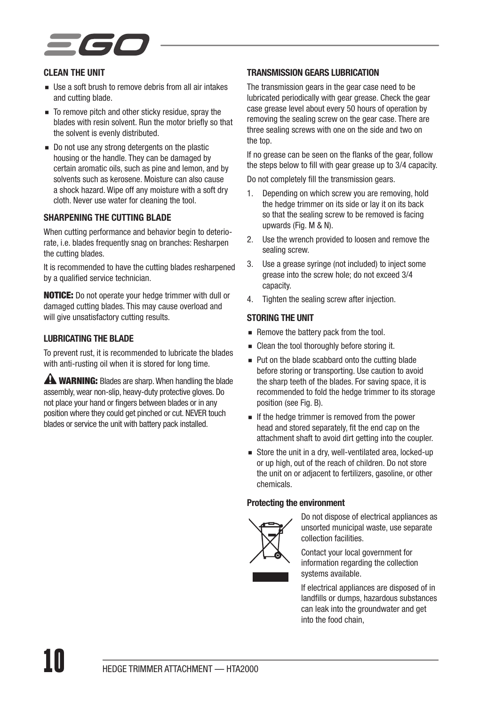#### CLEAN THE UNIT

- Use a soft brush to remove debris from all air intakes and cutting blade.
- To remove pitch and other sticky residue, spray the blades with resin solvent. Run the motor briefly so that the solvent is evenly distributed.
- Do not use any strong detergents on the plastic housing or the handle. They can be damaged by certain aromatic oils, such as pine and lemon, and by solvents such as kerosene. Moisture can also cause a shock hazard. Wipe off any moisture with a soft dry cloth. Never use water for cleaning the tool.

#### SHARPENING THE CUTTING BLADE

When cutting performance and behavior begin to deteriorate, i.e. blades frequently snag on branches: Resharpen the cutting blades.

It is recommended to have the cutting blades resharpened by a qualified service technician.

NOTICE: Do not operate your hedge trimmer with dull or damaged cutting blades. This may cause overload and will give unsatisfactory cutting results.

#### LUBRICATING THE BLADE

To prevent rust, it is recommended to lubricate the blades with anti-rusting oil when it is stored for long time.

**AN WARNING:** Blades are sharp. When handling the blade assembly, wear non-slip, heavy-duty protective gloves. Do not place your hand or fingers between blades or in any position where they could get pinched or cut. NEVER touch blades or service the unit with battery pack installed.

#### TRANSMISSION GEARS LUBRICATION

The transmission gears in the gear case need to be lubricated periodically with gear grease. Check the gear case grease level about every 50 hours of operation by removing the sealing screw on the gear case. There are three sealing screws with one on the side and two on the top.

If no grease can be seen on the flanks of the gear, follow the steps below to fill with gear grease up to 3/4 capacity.

Do not completely fill the transmission gears.

- 1. Depending on which screw you are removing, hold the hedge trimmer on its side or lay it on its back so that the sealing screw to be removed is facing upwards (Fig. M & N).
- 2. Use the wrench provided to loosen and remove the sealing screw.
- 3. Use a grease syringe (not included) to inject some grease into the screw hole; do not exceed 3/4 capacity.
- 4. Tighten the sealing screw after injection.

#### STORING THE UNIT

- Remove the battery pack from the tool.
- Clean the tool thoroughly before storing it.
- Put on the blade scabbard onto the cutting blade before storing or transporting. Use caution to avoid the sharp teeth of the blades. For saving space, it is recommended to fold the hedge trimmer to its storage position (see Fig. B).
- If the hedge trimmer is removed from the power head and stored separately, fit the end cap on the attachment shaft to avoid dirt getting into the coupler.
- Store the unit in a dry, well-ventilated area, locked-up or up high, out of the reach of children. Do not store the unit on or adjacent to fertilizers, gasoline, or other chemicals.

#### Protecting the environment



Do not dispose of electrical appliances as unsorted municipal waste, use separate collection facilities.

Contact your local government for information regarding the collection systems available.

If electrical appliances are disposed of in landfills or dumps, hazardous substances can leak into the groundwater and get into the food chain,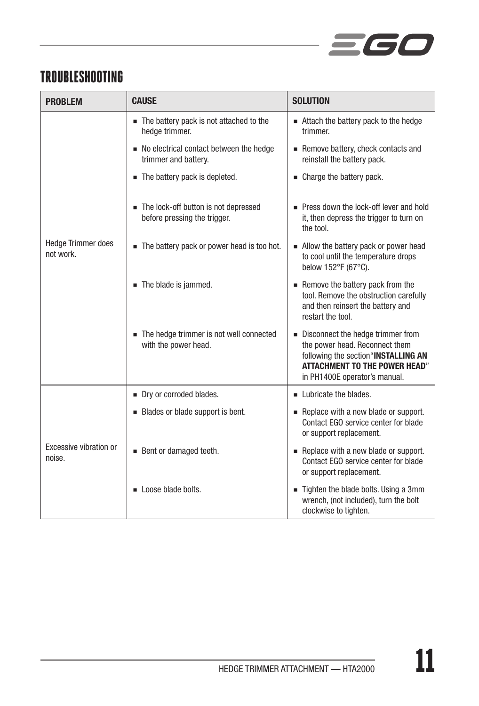

### TROUBLESHOOTING

| <b>PROBLEM</b>                         | <b>CAUSE</b>                                                         | <b>SOLUTION</b>                                                                                                                                                                     |  |
|----------------------------------------|----------------------------------------------------------------------|-------------------------------------------------------------------------------------------------------------------------------------------------------------------------------------|--|
| <b>Hedge Trimmer does</b><br>not work. | The battery pack is not attached to the<br>hedge trimmer.            | Attach the battery pack to the hedge<br>trimmer.                                                                                                                                    |  |
|                                        | ■ No electrical contact between the hedge<br>trimmer and battery.    | Remove battery, check contacts and<br>reinstall the battery pack.                                                                                                                   |  |
|                                        | The battery pack is depleted.                                        | • Charge the battery pack.                                                                                                                                                          |  |
|                                        | The lock-off button is not depressed<br>before pressing the trigger. | Press down the lock-off lever and hold<br>it, then depress the trigger to turn on<br>the tool.                                                                                      |  |
|                                        | The battery pack or power head is too hot.                           | - Allow the battery pack or power head<br>to cool until the temperature drops<br>below 152°F (67°C).                                                                                |  |
|                                        | The blade is jammed.                                                 | Remove the battery pack from the<br>tool. Remove the obstruction carefully<br>and then reinsert the battery and<br>restart the tool.                                                |  |
|                                        | The hedge trimmer is not well connected<br>with the power head.      | Disconnect the hedge trimmer from<br>the power head. Reconnect them<br>following the section"INSTALLING AN<br><b>ATTACHMENT TO THE POWER HEAD"</b><br>in PH1400E operator's manual. |  |
| Excessive vibration or<br>noise.       | Dry or corroded blades.                                              | Lubricate the blades.                                                                                                                                                               |  |
|                                        | Blades or blade support is bent.                                     | Replace with a new blade or support.<br>Contact EGO service center for blade<br>or support replacement.                                                                             |  |
|                                        | Bent or damaged teeth.                                               | Replace with a new blade or support.<br>Contact EGO service center for blade<br>or support replacement.                                                                             |  |
|                                        | Loose blade bolts.                                                   | Tighten the blade bolts. Using a 3mm<br>wrench, (not included), turn the bolt<br>clockwise to tighten.                                                                              |  |